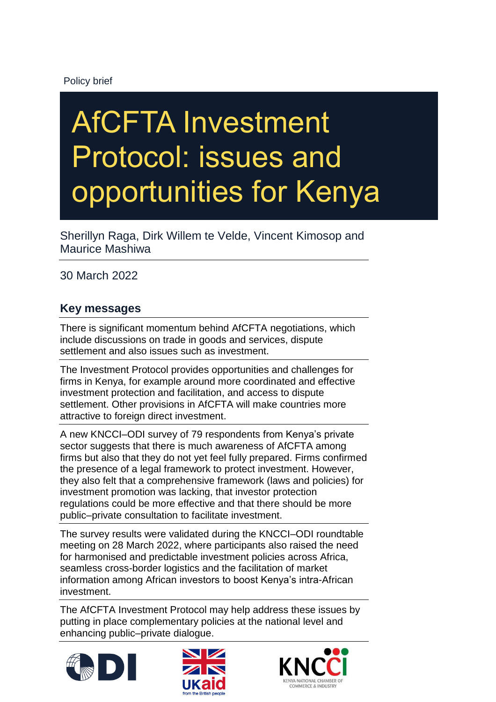### Policy brief

# AfCFTA Investment Protocol: issues and opportunities for Kenya

Sherillyn Raga, Dirk Willem te Velde, Vincent Kimosop and Maurice Mashiwa

30 March 2022

## **Key messages**

There is significant momentum behind AfCFTA negotiations, which include discussions on trade in goods and services, dispute settlement and also issues such as investment.

The Investment Protocol provides opportunities and challenges for firms in Kenya, for example around more coordinated and effective investment protection and facilitation, and access to dispute settlement. Other provisions in AfCFTA will make countries more attractive to foreign direct investment.

A new KNCCI–ODI survey of 79 respondents from Kenya's private sector suggests that there is much awareness of AfCFTA among firms but also that they do not yet feel fully prepared. Firms confirmed the presence of a legal framework to protect investment. However, they also felt that a comprehensive framework (laws and policies) for investment promotion was lacking, that investor protection regulations could be more effective and that there should be more public–private consultation to facilitate investment.

The survey results were validated during the KNCCI–ODI roundtable meeting on 28 March 2022, where participants also raised the need for harmonised and predictable investment policies across Africa, seamless cross-border logistics and the facilitation of market information among African investors to boost Kenya's intra-African investment.

The AfCFTA Investment Protocol may help address these issues by putting in place complementary policies at the national level and enhancing public–private dialogue.





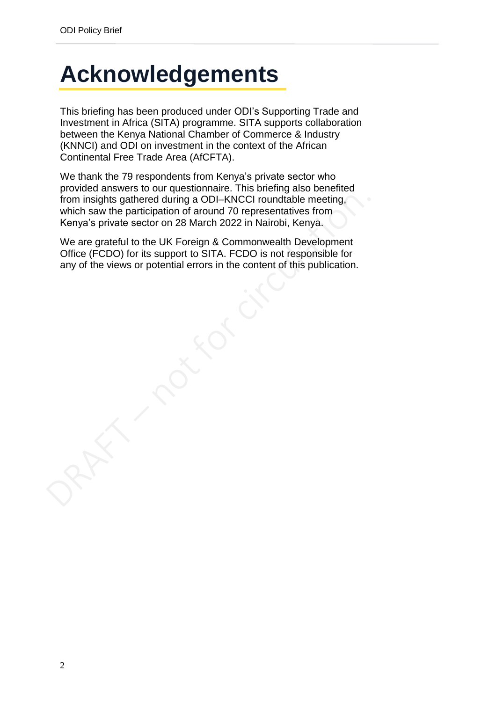## <span id="page-1-0"></span>**Acknowledgements**

This briefing has been produced under ODI's Supporting Trade and Investment in Africa (SITA) programme. SITA supports collaboration between the Kenya National Chamber of Commerce & Industry (KNNCI) and ODI on investment in the context of the African Continental Free Trade Area (AfCFTA).

We thank the 79 respondents from Kenya's private sector who provided answers to our questionnaire. This briefing also benefited from insights gathered during a ODI–KNCCI roundtable meeting, which saw the participation of around 70 representatives from Kenya's private sector on 28 March 2022 in Nairobi, Kenya.

We are grateful to the UK Foreign & Commonwealth Development Office (FCDO) for its support to SITA. FCDO is not responsible for any of the views or potential errors in the content of this publication.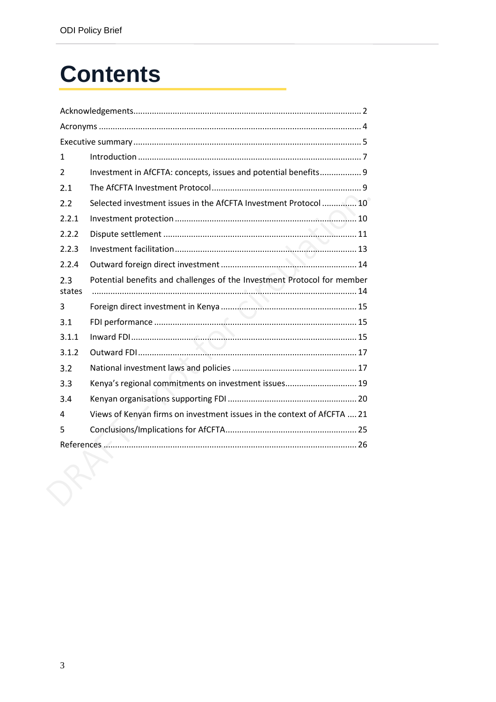## **Contents**

| 1              |                                                                         |
|----------------|-------------------------------------------------------------------------|
| $\overline{2}$ | Investment in AfCFTA: concepts, issues and potential benefits 9         |
| 2.1            |                                                                         |
| 2.2            | Selected investment issues in the AfCFTA Investment Protocol  10        |
| 2.2.1          |                                                                         |
| 2.2.2          |                                                                         |
| 2.2.3          |                                                                         |
| 2.2.4          |                                                                         |
| 2.3<br>states  | Potential benefits and challenges of the Investment Protocol for member |
| 3              |                                                                         |
| 3.1            |                                                                         |
| 3.1.1          |                                                                         |
| 3.1.2          | $\overline{\phantom{a}}$                                                |
| 3.2            |                                                                         |
| 3.3            | Kenya's regional commitments on investment issues 19                    |
| 3.4            |                                                                         |
| 4              | Views of Kenyan firms on investment issues in the context of AfCFTA  21 |
| 5              |                                                                         |
|                |                                                                         |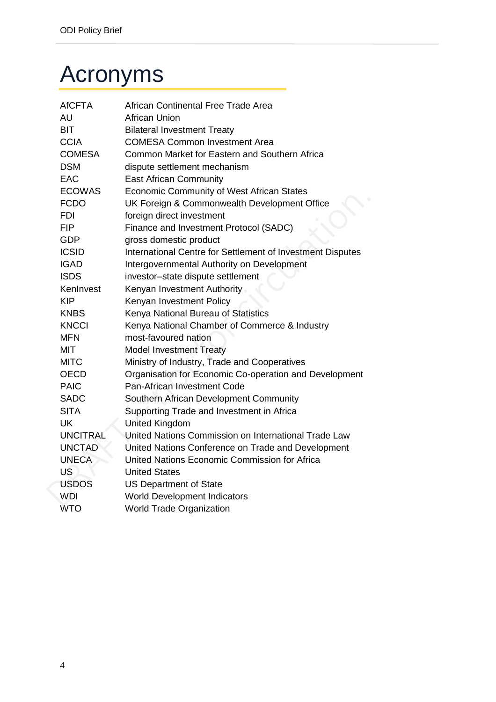## <span id="page-3-0"></span>Acronyms

| <b>AfCFTA</b>   | African Continental Free Trade Area                        |
|-----------------|------------------------------------------------------------|
| AU              | <b>African Union</b>                                       |
| <b>BIT</b>      | <b>Bilateral Investment Treaty</b>                         |
| <b>CCIA</b>     | <b>COMESA Common Investment Area</b>                       |
| <b>COMESA</b>   | Common Market for Eastern and Southern Africa              |
| <b>DSM</b>      | dispute settlement mechanism                               |
| <b>EAC</b>      | <b>East African Community</b>                              |
| <b>ECOWAS</b>   | Economic Community of West African States                  |
| <b>FCDO</b>     | UK Foreign & Commonwealth Development Office               |
| <b>FDI</b>      | foreign direct investment                                  |
| <b>FIP</b>      | Finance and Investment Protocol (SADC)                     |
| <b>GDP</b>      | gross domestic product                                     |
| <b>ICSID</b>    | International Centre for Settlement of Investment Disputes |
| <b>IGAD</b>     | Intergovernmental Authority on Development                 |
| <b>ISDS</b>     | investor-state dispute settlement                          |
| KenInvest       | Kenyan Investment Authority                                |
| <b>KIP</b>      | Kenyan Investment Policy                                   |
| <b>KNBS</b>     | Kenya National Bureau of Statistics                        |
| <b>KNCCI</b>    | Kenya National Chamber of Commerce & Industry              |
| <b>MFN</b>      | most-favoured nation                                       |
| MIT             | <b>Model Investment Treaty</b>                             |
| <b>MITC</b>     | Ministry of Industry, Trade and Cooperatives               |
| <b>OECD</b>     | Organisation for Economic Co-operation and Development     |
| <b>PAIC</b>     | Pan-African Investment Code                                |
| <b>SADC</b>     | Southern African Development Community                     |
| <b>SITA</b>     | Supporting Trade and Investment in Africa                  |
| <b>UK</b>       | <b>United Kingdom</b>                                      |
| <b>UNCITRAL</b> | United Nations Commission on International Trade Law       |
| <b>UNCTAD</b>   | United Nations Conference on Trade and Development         |
| <b>UNECA</b>    | United Nations Economic Commission for Africa              |
| US              | <b>United States</b>                                       |
| <b>USDOS</b>    | <b>US Department of State</b>                              |
| <b>WDI</b>      | <b>World Development Indicators</b>                        |
| <b>WTO</b>      | <b>World Trade Organization</b>                            |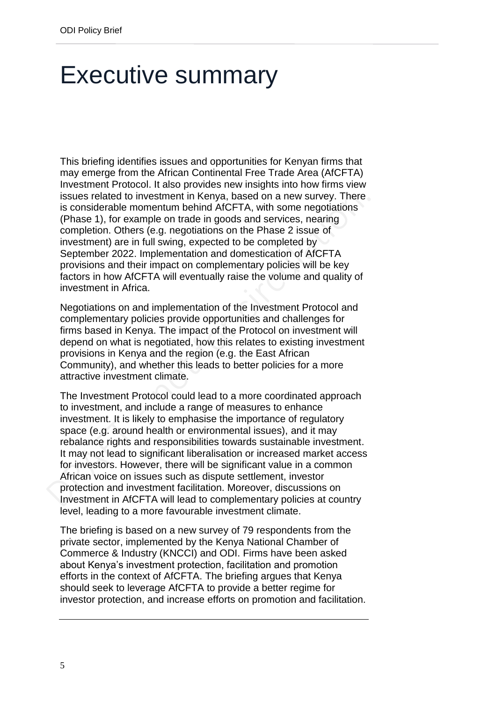## <span id="page-4-0"></span>Executive summary

This briefing identifies issues and opportunities for Kenyan firms that may emerge from the African Continental Free Trade Area (AfCFTA) Investment Protocol. It also provides new insights into how firms view issues related to investment in Kenya, based on a new survey. There is considerable momentum behind AfCFTA, with some negotiations (Phase 1), for example on trade in goods and services, nearing completion. Others (e.g. negotiations on the Phase 2 issue of investment) are in full swing, expected to be completed by September 2022. Implementation and domestication of AfCFTA provisions and their impact on complementary policies will be key factors in how AfCFTA will eventually raise the volume and quality of investment in Africa.

Negotiations on and implementation of the Investment Protocol and complementary policies provide opportunities and challenges for firms based in Kenya. The impact of the Protocol on investment will depend on what is negotiated, how this relates to existing investment provisions in Kenya and the region (e.g. the East African Community), and whether this leads to better policies for a more attractive investment climate.

The Investment Protocol could lead to a more coordinated approach to investment, and include a range of measures to enhance investment. It is likely to emphasise the importance of regulatory space (e.g. around health or environmental issues), and it may rebalance rights and responsibilities towards sustainable investment. It may not lead to significant liberalisation or increased market access for investors. However, there will be significant value in a common African voice on issues such as dispute settlement, investor protection and investment facilitation. Moreover, discussions on Investment in AfCFTA will lead to complementary policies at country level, leading to a more favourable investment climate.

The briefing is based on a new survey of 79 respondents from the private sector, implemented by the Kenya National Chamber of Commerce & Industry (KNCCI) and ODI. Firms have been asked about Kenya's investment protection, facilitation and promotion efforts in the context of AfCFTA. The briefing argues that Kenya should seek to leverage AfCFTA to provide a better regime for investor protection, and increase efforts on promotion and facilitation.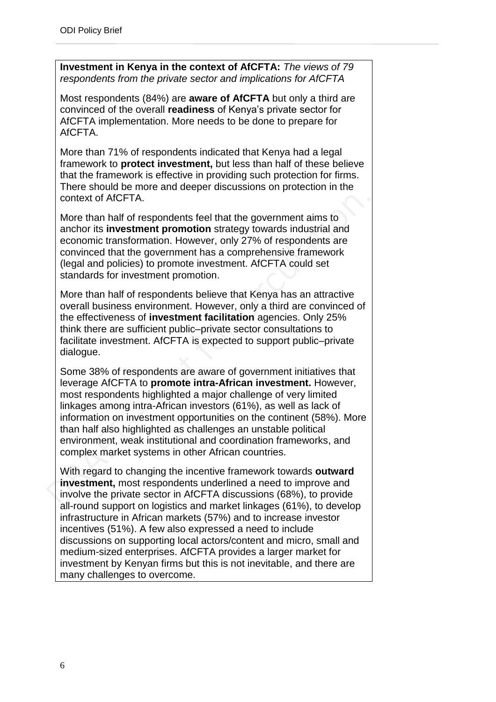**Investment in Kenya in the context of AfCFTA:** *The views of 79 respondents from the private sector and implications for AfCFTA*

Most respondents (84%) are **aware of AfCFTA** but only a third are convinced of the overall **readiness** of Kenya's private sector for AfCFTA implementation. More needs to be done to prepare for AfCFTA.

More than 71% of respondents indicated that Kenya had a legal framework to **protect investment,** but less than half of these believe that the framework is effective in providing such protection for firms. There should be more and deeper discussions on protection in the context of AfCFTA.

More than half of respondents feel that the government aims to anchor its **investment promotion** strategy towards industrial and economic transformation. However, only 27% of respondents are convinced that the government has a comprehensive framework (legal and policies) to promote investment. AfCFTA could set standards for investment promotion.

More than half of respondents believe that Kenya has an attractive overall business environment. However, only a third are convinced of the effectiveness of **investment facilitation** agencies. Only 25% think there are sufficient public–private sector consultations to facilitate investment. AfCFTA is expected to support public–private dialogue.

Some 38% of respondents are aware of government initiatives that leverage AfCFTA to **promote intra-African investment.** However, most respondents highlighted a major challenge of very limited linkages among intra-African investors (61%), as well as lack of information on investment opportunities on the continent (58%). More than half also highlighted as challenges an unstable political environment, weak institutional and coordination frameworks, and complex market systems in other African countries.

With regard to changing the incentive framework towards **outward investment,** most respondents underlined a need to improve and involve the private sector in AfCFTA discussions (68%), to provide all-round support on logistics and market linkages (61%), to develop infrastructure in African markets (57%) and to increase investor incentives (51%). A few also expressed a need to include discussions on supporting local actors/content and micro, small and medium-sized enterprises. AfCFTA provides a larger market for investment by Kenyan firms but this is not inevitable, and there are many challenges to overcome.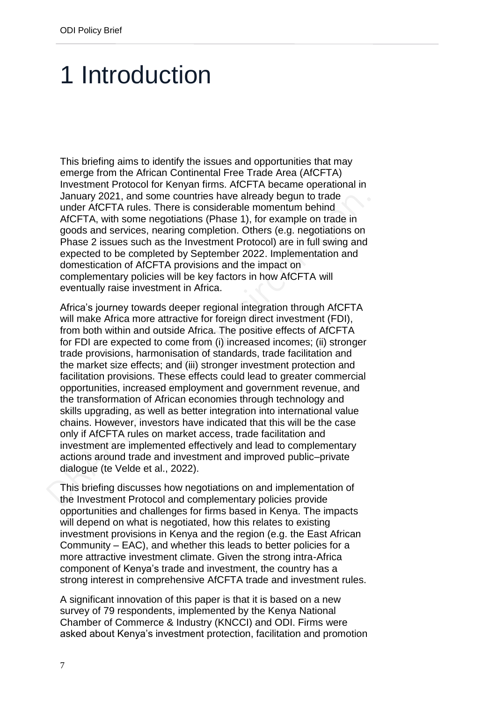## <span id="page-6-0"></span>1 Introduction

This briefing aims to identify the issues and opportunities that may emerge from the African Continental Free Trade Area (AfCFTA) Investment Protocol for Kenyan firms. AfCFTA became operational in January 2021, and some countries have already begun to trade under AfCFTA rules. There is considerable momentum behind AfCFTA, with some negotiations (Phase 1), for example on trade in goods and services, nearing completion. Others (e.g. negotiations on Phase 2 issues such as the Investment Protocol) are in full swing and expected to be completed by September 2022. Implementation and domestication of AfCFTA provisions and the impact on complementary policies will be key factors in how AfCFTA will eventually raise investment in Africa.

Africa's journey towards deeper regional integration through AfCFTA will make Africa more attractive for foreign direct investment (FDI), from both within and outside Africa. The positive effects of AfCFTA for FDI are expected to come from (i) increased incomes; (ii) stronger trade provisions, harmonisation of standards, trade facilitation and the market size effects; and (iii) stronger investment protection and facilitation provisions. These effects could lead to greater commercial opportunities, increased employment and government revenue, and the transformation of African economies through technology and skills upgrading, as well as better integration into international value chains. However, investors have indicated that this will be the case only if AfCFTA rules on market access, trade facilitation and investment are implemented effectively and lead to complementary actions around trade and investment and improved public–private dialogue (te Velde et al., 2022).

This briefing discusses how negotiations on and implementation of the Investment Protocol and complementary policies provide opportunities and challenges for firms based in Kenya. The impacts will depend on what is negotiated, how this relates to existing investment provisions in Kenya and the region (e.g. the East African Community – EAC), and whether this leads to better policies for a more attractive investment climate. Given the strong intra-Africa component of Kenya's trade and investment, the country has a strong interest in comprehensive AfCFTA trade and investment rules.

A significant innovation of this paper is that it is based on a new survey of 79 respondents, implemented by the Kenya National Chamber of Commerce & Industry (KNCCI) and ODI. Firms were asked about Kenya's investment protection, facilitation and promotion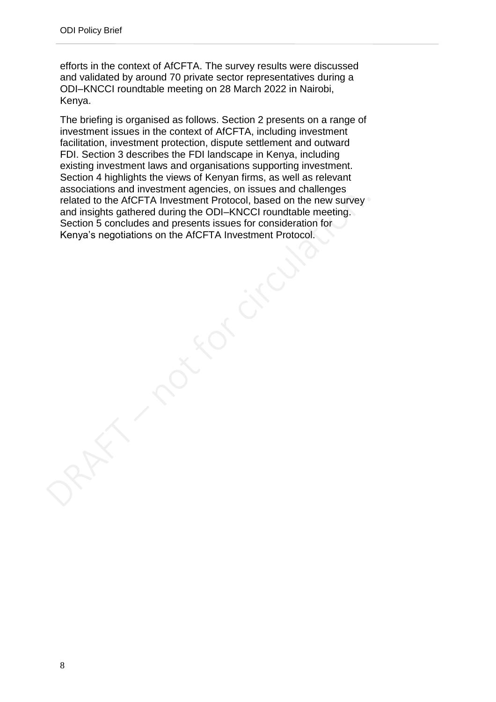efforts in the context of AfCFTA. The survey results were discussed and validated by around 70 private sector representatives during a ODI–KNCCI roundtable meeting on 28 March 2022 in Nairobi, Kenya.

The briefing is organised as follows. Section 2 presents on a range of investment issues in the context of AfCFTA, including investment facilitation, investment protection, dispute settlement and outward FDI. Section 3 describes the FDI landscape in Kenya, including existing investment laws and organisations supporting investment. Section 4 highlights the views of Kenyan firms, as well as relevant associations and investment agencies, on issues and challenges related to the AfCFTA Investment Protocol, based on the new survey and insights gathered during the ODI–KNCCI roundtable meeting. Section 5 concludes and presents issues for consideration for Kenya's negotiations on the AfCFTA Investment Protocol.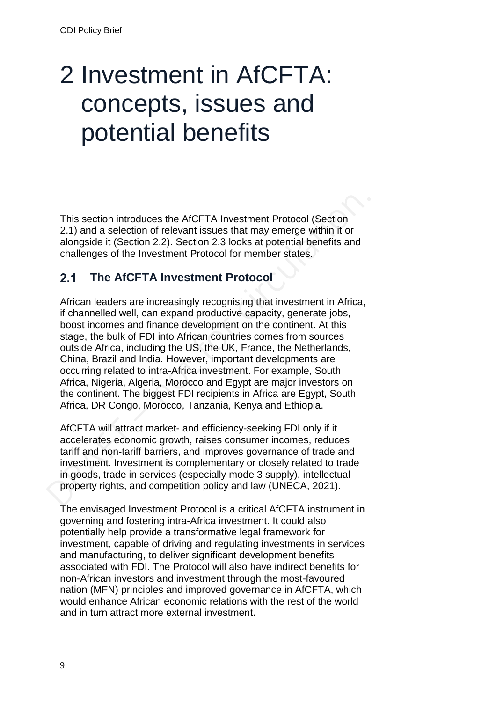## <span id="page-8-0"></span>2 Investment in AfCFTA: concepts, issues and potential benefits

This section introduces the AfCFTA Investment Protocol (Section 2.1) and a selection of relevant issues that may emerge within it or alongside it (Section 2.2). Section 2.3 looks at potential benefits and challenges of the Investment Protocol for member states.

#### <span id="page-8-1"></span> $2.1$ **The AfCFTA Investment Protocol**

African leaders are increasingly recognising that investment in Africa, if channelled well, can expand productive capacity, generate jobs, boost incomes and finance development on the continent. At this stage, the bulk of FDI into African countries comes from sources outside Africa, including the US, the UK, France, the Netherlands, China, Brazil and India. However, important developments are occurring related to intra-Africa investment. For example, South Africa, Nigeria, Algeria, Morocco and Egypt are major investors on the continent. The biggest FDI recipients in Africa are Egypt, South Africa, DR Congo, Morocco, Tanzania, Kenya and Ethiopia.

AfCFTA will attract market- and efficiency-seeking FDI only if it accelerates economic growth, raises consumer incomes, reduces tariff and non-tariff barriers, and improves governance of trade and investment. Investment is complementary or closely related to trade in goods, trade in services (especially mode 3 supply), intellectual property rights, and competition policy and law (UNECA, 2021).

The envisaged Investment Protocol is a critical AfCFTA instrument in governing and fostering intra-Africa investment. It could also potentially help provide a transformative legal framework for investment, capable of driving and regulating investments in services and manufacturing, to deliver significant development benefits associated with FDI. The Protocol will also have indirect benefits for non-African investors and investment through the most-favoured nation (MFN) principles and improved governance in AfCFTA, which would enhance African economic relations with the rest of the world and in turn attract more external investment.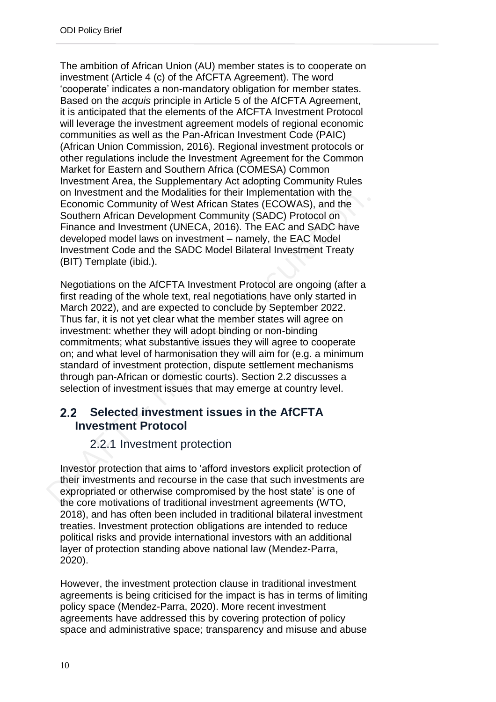The ambition of African Union (AU) member states is to cooperate on investment (Article 4 (c) of the AfCFTA Agreement). The word 'cooperate' indicates a non-mandatory obligation for member states. Based on the *acquis* principle in Article 5 of the AfCFTA Agreement, it is anticipated that the elements of the AfCFTA Investment Protocol will leverage the investment agreement models of regional economic communities as well as the Pan-African Investment Code (PAIC) (African Union Commission, 2016). Regional investment protocols or other regulations include the Investment Agreement for the Common Market for Eastern and Southern Africa (COMESA) Common Investment Area, the Supplementary Act adopting Community Rules on Investment and the Modalities for their Implementation with the Economic Community of West African States (ECOWAS), and the Southern African Development Community (SADC) Protocol on Finance and Investment (UNECA, 2016). The EAC and SADC have developed model laws on investment – namely, the EAC Model Investment Code and the SADC Model Bilateral Investment Treaty (BIT) Template (ibid.).

Negotiations on the AfCFTA Investment Protocol are ongoing (after a first reading of the whole text, real negotiations have only started in March 2022), and are expected to conclude by September 2022. Thus far, it is not yet clear what the member states will agree on investment: whether they will adopt binding or non-binding commitments; what substantive issues they will agree to cooperate on; and what level of harmonisation they will aim for (e.g. a minimum standard of investment protection, dispute settlement mechanisms through pan-African or domestic courts). Section 2.2 discusses a selection of investment issues that may emerge at country level.

#### <span id="page-9-0"></span>**Selected investment issues in the AfCFTA**   $2.2<sub>2</sub>$ **Investment Protocol**

### 2.2.1 Investment protection

<span id="page-9-1"></span>Investor protection that aims to 'afford investors explicit protection of their investments and recourse in the case that such investments are expropriated or otherwise compromised by the host state' is one of the core motivations of traditional investment agreements (WTO, 2018), and has often been included in traditional bilateral investment treaties. Investment protection obligations are intended to reduce political risks and provide international investors with an additional layer of protection standing above national law (Mendez-Parra, 2020).

However, the investment protection clause in traditional investment agreements is being criticised for the impact is has in terms of limiting policy space (Mendez-Parra, 2020). More recent investment agreements have addressed this by covering protection of policy space and administrative space; transparency and misuse and abuse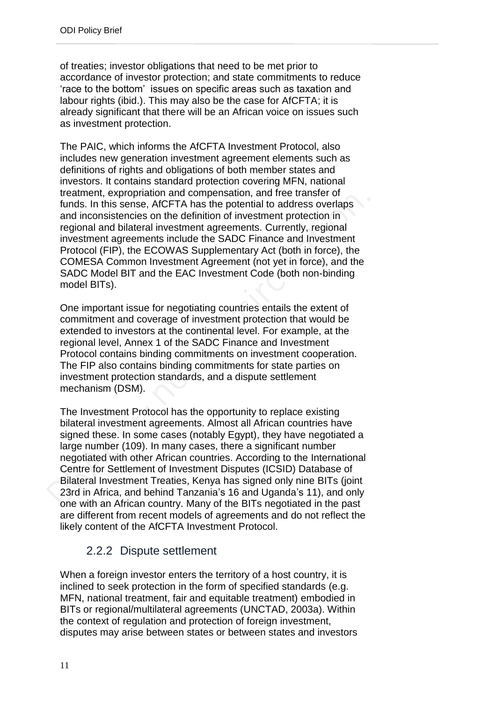of treaties; investor obligations that need to be met prior to accordance of investor protection; and state commitments to reduce 'race to the bottom' issues on specific areas such as taxation and labour rights (ibid.). This may also be the case for AfCFTA; it is already significant that there will be an African voice on issues such as investment protection.

The PAIC, which informs the AfCFTA Investment Protocol, also includes new generation investment agreement elements such as definitions of rights and obligations of both member states and investors. It contains standard protection covering MFN, national treatment, expropriation and compensation, and free transfer of funds. In this sense, AfCFTA has the potential to address overlaps and inconsistencies on the definition of investment protection in regional and bilateral investment agreements. Currently, regional investment agreements include the SADC Finance and Investment Protocol (FIP), the ECOWAS Supplementary Act (both in force), the COMESA Common Investment Agreement (not yet in force), and the SADC Model BIT and the EAC Investment Code (both non-binding model BITs).

One important issue for negotiating countries entails the extent of commitment and coverage of investment protection that would be extended to investors at the continental level. For example, at the regional level, Annex 1 of the SADC Finance and Investment Protocol contains binding commitments on investment cooperation. The FIP also contains binding commitments for state parties on investment protection standards, and a dispute settlement mechanism (DSM).

The Investment Protocol has the opportunity to replace existing bilateral investment agreements. Almost all African countries have signed these. In some cases (notably Egypt), they have negotiated a large number (109). In many cases, there a significant number negotiated with other African countries. According to the International Centre for Settlement of Investment Disputes (ICSID) Database of Bilateral Investment Treaties, Kenya has signed only nine BITs (joint 23rd in Africa, and behind Tanzania's 16 and Uganda's 11), and only one with an African country. Many of the BITs negotiated in the past are different from recent models of agreements and do not reflect the likely content of the AfCFTA Investment Protocol.

## 2.2.2 Dispute settlement

<span id="page-10-0"></span>When a foreign investor enters the territory of a host country, it is inclined to seek protection in the form of specified standards (e.g. MFN, national treatment, fair and equitable treatment) embodied in BITs or regional/multilateral agreements (UNCTAD, 2003a). Within the context of regulation and protection of foreign investment, disputes may arise between states or between states and investors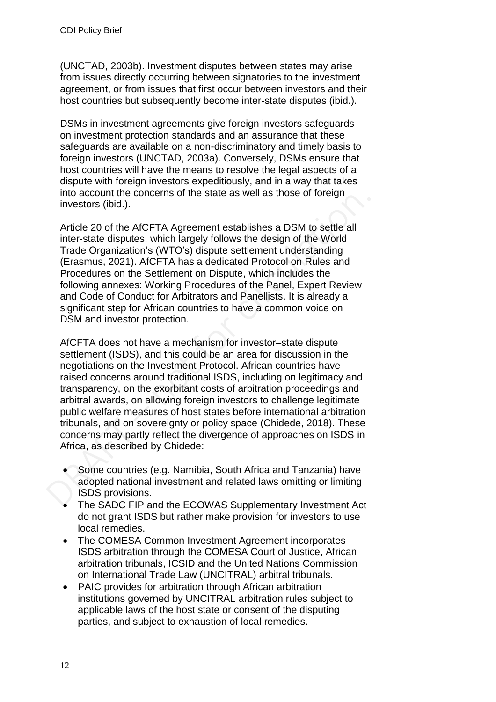(UNCTAD, 2003b). Investment disputes between states may arise from issues directly occurring between signatories to the investment agreement, or from issues that first occur between investors and their host countries but subsequently become inter-state disputes (ibid.).

DSMs in investment agreements give foreign investors safeguards on investment protection standards and an assurance that these safeguards are available on a non-discriminatory and timely basis to foreign investors (UNCTAD, 2003a). Conversely, DSMs ensure that host countries will have the means to resolve the legal aspects of a dispute with foreign investors expeditiously, and in a way that takes into account the concerns of the state as well as those of foreign investors (ibid.).

Article 20 of the AfCFTA Agreement establishes a DSM to settle all inter-state disputes, which largely follows the design of the World Trade Organization's (WTO's) dispute settlement understanding (Erasmus, 2021). AfCFTA has a dedicated Protocol on Rules and Procedures on the Settlement on Dispute, which includes the following annexes: Working Procedures of the Panel, Expert Review and Code of Conduct for Arbitrators and Panellists. It is already a significant step for African countries to have a common voice on DSM and investor protection.

AfCFTA does not have a mechanism for investor–state dispute settlement (ISDS), and this could be an area for discussion in the negotiations on the Investment Protocol. African countries have raised concerns around traditional ISDS, including on legitimacy and transparency, on the exorbitant costs of arbitration proceedings and arbitral awards, on allowing foreign investors to challenge legitimate public welfare measures of host states before international arbitration tribunals, and on sovereignty or policy space (Chidede, 2018). These concerns may partly reflect the divergence of approaches on ISDS in Africa, as described by Chidede:

- Some countries (e.g. Namibia, South Africa and Tanzania) have adopted national investment and related laws omitting or limiting ISDS provisions.
- The SADC FIP and the ECOWAS Supplementary Investment Act do not grant ISDS but rather make provision for investors to use local remedies.
- The COMESA Common Investment Agreement incorporates ISDS arbitration through the COMESA Court of Justice, African arbitration tribunals, ICSID and the United Nations Commission on International Trade Law (UNCITRAL) arbitral tribunals.
- PAIC provides for arbitration through African arbitration institutions governed by UNCITRAL arbitration rules subject to applicable laws of the host state or consent of the disputing parties, and subject to exhaustion of local remedies.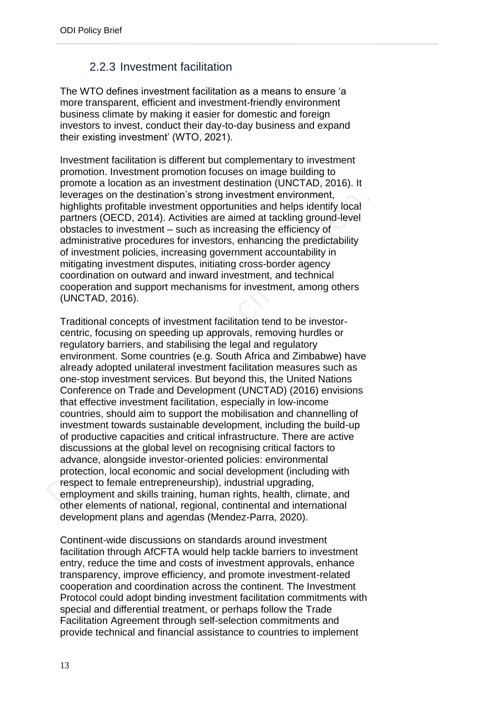## 2.2.3 Investment facilitation

<span id="page-12-0"></span>The WTO defines investment facilitation as a means to ensure 'a more transparent, efficient and investment-friendly environment business climate by making it easier for domestic and foreign investors to invest, conduct their day-to-day business and expand their existing investment' (WTO, 2021).

Investment facilitation is different but complementary to investment promotion. Investment promotion focuses on image building to promote a location as an investment destination (UNCTAD, 2016). It leverages on the destination's strong investment environment, highlights profitable investment opportunities and helps identify local partners (OECD, 2014). Activities are aimed at tackling ground-level obstacles to investment – such as increasing the efficiency of administrative procedures for investors, enhancing the predictability of investment policies, increasing government accountability in mitigating investment disputes, initiating cross-border agency coordination on outward and inward investment, and technical cooperation and support mechanisms for investment, among others (UNCTAD, 2016).

Traditional concepts of investment facilitation tend to be investorcentric, focusing on speeding up approvals, removing hurdles or regulatory barriers, and stabilising the legal and regulatory environment. Some countries (e.g. South Africa and Zimbabwe) have already adopted unilateral investment facilitation measures such as one-stop investment services. But beyond this, the United Nations Conference on Trade and Development (UNCTAD) (2016) envisions that effective investment facilitation, especially in low-income countries, should aim to support the mobilisation and channelling of investment towards sustainable development, including the build-up of productive capacities and critical infrastructure. There are active discussions at the global level on recognising critical factors to advance, alongside investor-oriented policies: environmental protection, local economic and social development (including with respect to female entrepreneurship), industrial upgrading, employment and skills training, human rights, health, climate, and other elements of national, regional, continental and international development plans and agendas (Mendez-Parra, 2020).

Continent-wide discussions on standards around investment facilitation through AfCFTA would help tackle barriers to investment entry, reduce the time and costs of investment approvals, enhance transparency, improve efficiency, and promote investment-related cooperation and coordination across the continent. The Investment Protocol could adopt binding investment facilitation commitments with special and differential treatment, or perhaps follow the Trade Facilitation Agreement through self-selection commitments and provide technical and financial assistance to countries to implement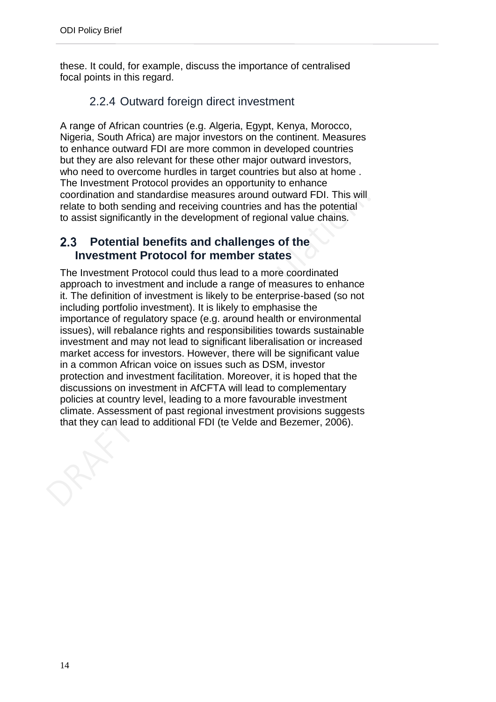these. It could, for example, discuss the importance of centralised focal points in this regard.

### 2.2.4 Outward foreign direct investment

<span id="page-13-0"></span>A range of African countries (e.g. Algeria, Egypt, Kenya, Morocco, Nigeria, South Africa) are major investors on the continent. Measures to enhance outward FDI are more common in developed countries but they are also relevant for these other major outward investors, who need to overcome hurdles in target countries but also at home . The Investment Protocol provides an opportunity to enhance coordination and standardise measures around outward FDI. This will relate to both sending and receiving countries and has the potential to assist significantly in the development of regional value chains.

#### <span id="page-13-1"></span> $2.3$ **Potential benefits and challenges of the Investment Protocol for member states**

The Investment Protocol could thus lead to a more coordinated approach to investment and include a range of measures to enhance it. The definition of investment is likely to be enterprise-based (so not including portfolio investment). It is likely to emphasise the importance of regulatory space (e.g. around health or environmental issues), will rebalance rights and responsibilities towards sustainable investment and may not lead to significant liberalisation or increased market access for investors. However, there will be significant value in a common African voice on issues such as DSM, investor protection and investment facilitation. Moreover, it is hoped that the discussions on investment in AfCFTA will lead to complementary policies at country level, leading to a more favourable investment climate. Assessment of past regional investment provisions suggests that they can lead to additional FDI (te Velde and Bezemer, 2006).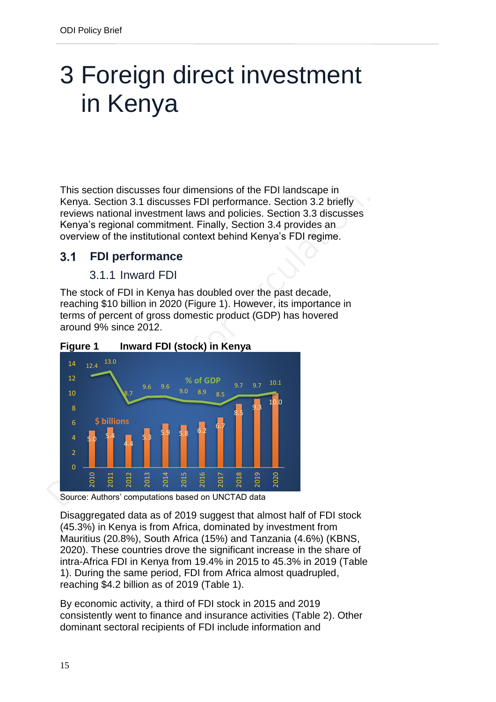## <span id="page-14-0"></span>3 Foreign direct investment in Kenya

This section discusses four dimensions of the FDI landscape in Kenya. Section 3.1 discusses FDI performance. Section 3.2 briefly reviews national investment laws and policies. Section 3.3 discusses Kenya's regional commitment. Finally, Section 3.4 provides an overview of the institutional context behind Kenya's FDI regime.

#### <span id="page-14-1"></span> $3.1$ **FDI performance**

### 3.1.1 Inward FDI

<span id="page-14-2"></span>The stock of FDI in Kenya has doubled over the past decade, reaching \$10 billion in 2020 (Figure 1). However, its importance in terms of percent of gross domestic product (GDP) has hovered around 9% since 2012.





Source: Authors' computations based on UNCTAD data

Disaggregated data as of 2019 suggest that almost half of FDI stock (45.3%) in Kenya is from Africa, dominated by investment from Mauritius (20.8%), South Africa (15%) and Tanzania (4.6%) (KBNS, 2020). These countries drove the significant increase in the share of intra-Africa FDI in Kenya from 19.4% in 2015 to 45.3% in 2019 (Table 1). During the same period, FDI from Africa almost quadrupled, reaching \$4.2 billion as of 2019 (Table 1).

By economic activity, a third of FDI stock in 2015 and 2019 consistently went to finance and insurance activities (Table 2). Other dominant sectoral recipients of FDI include information and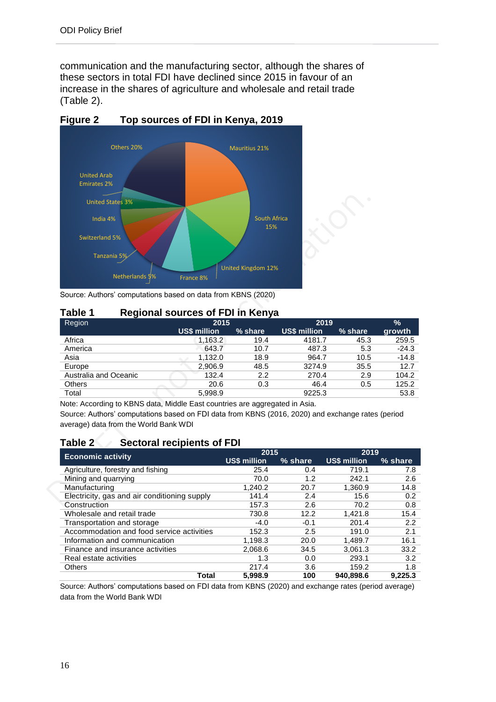communication and the manufacturing sector, although the shares of these sectors in total FDI have declined since 2015 in favour of an increase in the shares of agriculture and wholesale and retail trade (Table 2).



**Figure 2 Top sources of FDI in Kenya, 2019**

Source: Authors' computations based on data from KBNS (2020)

### **Table 1 Regional sources of FDI in Kenya**

| $\sim$<br>Region      | 2015                |         |                     | 2019    |         |  |
|-----------------------|---------------------|---------|---------------------|---------|---------|--|
|                       | <b>US\$ million</b> | % share | <b>US\$ million</b> | % share | growth  |  |
| Africa                | 1,163.2             | 19.4    | 4181.7              | 45.3    | 259.5   |  |
| America               | 643.7               | 10.7    | 487.3               | 5.3     | $-24.3$ |  |
| Asia                  | 1.132.0             | 18.9    | 964.7               | 10.5    | $-14.8$ |  |
| Europe                | 2.906.9             | 48.5    | 3274.9              | 35.5    | 12.7    |  |
| Australia and Oceanic | 132.4               | 2.2     | 270.4               | 2.9     | 104.2   |  |
| <b>Others</b>         | 20.6                | 0.3     | 46.4                | 0.5     | 125.2   |  |
| Total                 | 5.998.9             |         | 9225.3              |         | 53.8    |  |

Note: According to KBNS data, Middle East countries are aggregated in Asia.

Source: Authors' computations based on FDI data from KBNS (2016, 2020) and exchange rates (period average) data from the World Bank WDI

### **Table 2 Sectoral recipients of FDI**

|                                              | 2015                |         | 2019                |         |  |
|----------------------------------------------|---------------------|---------|---------------------|---------|--|
| <b>Economic activity</b>                     | <b>US\$ million</b> | % share | <b>US\$ million</b> | % share |  |
| Agriculture, forestry and fishing            | 25.4                | 0.4     | 719.1               | 7.8     |  |
| Mining and quarrying                         | 70.0                | 1.2     | 242.1               | 2.6     |  |
| Manufacturing                                | 1.240.2             | 20.7    | 1.360.9             | 14.8    |  |
| Electricity, gas and air conditioning supply | 141.4               | 2.4     | 15.6                | 0.2     |  |
| Construction                                 | 157.3               | 2.6     | 70.2                | 0.8     |  |
| Wholesale and retail trade                   | 730.8               | 12.2    | 1.421.8             | 15.4    |  |
| Transportation and storage                   | $-4.0$              | $-0.1$  | 201.4               | 2.2     |  |
| Accommodation and food service activities    | 152.3               | 2.5     | 191.0               | 2.1     |  |
| Information and communication                | 1.198.3             | 20.0    | 1.489.7             | 16.1    |  |
| Finance and insurance activities             | 2,068.6             | 34.5    | 3.061.3             | 33.2    |  |
| Real estate activities                       | 1.3                 | 0.0     | 293.1               | 3.2     |  |
| Others                                       | 217.4               | 3.6     | 159.2               | 1.8     |  |
| Total                                        | 5.998.9             | 100     | 940.898.6           | 9.225.3 |  |

Source: Authors' computations based on FDI data from KBNS (2020) and exchange rates (period average) data from the World Bank WDI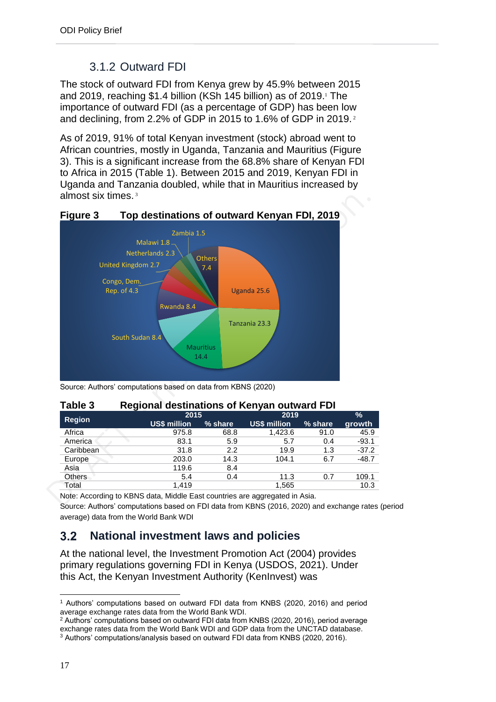## 3.1.2 Outward FDI

<span id="page-16-0"></span>The stock of outward FDI from Kenya grew by 45.9% between 2015 and 2019, reaching \$1.4 billion (KSh 145 billion) as of 2019. <sup>1</sup> The importance of outward FDI (as a percentage of GDP) has been low and declining, from 2.2% of GDP in 2015 to 1.6% of GDP in 2019. <sup>2</sup>

As of 2019, 91% of total Kenyan investment (stock) abroad went to African countries, mostly in Uganda, Tanzania and Mauritius (Figure 3). This is a significant increase from the 68.8% share of Kenyan FDI to Africa in 2015 (Table 1). Between 2015 and 2019, Kenyan FDI in Uganda and Tanzania doubled, while that in Mauritius increased by almost six times. <sup>3</sup>



**Figure 3 Top destinations of outward Kenyan FDI, 2019**

Source: Authors' computations based on data from KBNS (2020)

| .             | $\cdots$ given a communication of $\cdots$ and cannot a $\cdots$ |         |              |               |         |  |  |  |  |
|---------------|------------------------------------------------------------------|---------|--------------|---------------|---------|--|--|--|--|
|               | 2015                                                             |         | 2019         | $\frac{9}{6}$ |         |  |  |  |  |
| <b>Region</b> | US\$ million                                                     | % share | US\$ million | % share       | growth  |  |  |  |  |
| Africa        | 975.8                                                            | 68.8    | 1,423.6      | 91.0          | 45.9    |  |  |  |  |
| America       | 83.1                                                             | 5.9     | 5.7          | 0.4           | $-93.1$ |  |  |  |  |
| Caribbean     | 31.8                                                             | 2.2     | 19.9         | 1.3           | $-37.2$ |  |  |  |  |
| Europe        | 203.0                                                            | 14.3    | 104.1        | 6.7           | $-48.7$ |  |  |  |  |
| Asia          | 119.6                                                            | 8.4     |              |               |         |  |  |  |  |
| <b>Others</b> | 5.4                                                              | 0.4     | 11.3         | 0.7           | 109.1   |  |  |  |  |
| Total         | 1.419                                                            |         | 1,565        |               | 10.3    |  |  |  |  |
|               |                                                                  |         |              |               |         |  |  |  |  |

### **Table 3 Regional destinations of Kenyan outward FDI**

Note: According to KBNS data, Middle East countries are aggregated in Asia.

Source: Authors' computations based on FDI data from KBNS (2016, 2020) and exchange rates (period average) data from the World Bank WDI

#### <span id="page-16-1"></span> $3.2$ **National investment laws and policies**

At the national level, the Investment Promotion Act (2004) provides primary regulations governing FDI in Kenya (USDOS, 2021). Under this Act, the Kenyan Investment Authority (KenInvest) was

l <sup>1</sup> Authors' computations based on outward FDI data from KNBS (2020, 2016) and period average exchange rates data from the World Bank WDI.

<sup>2</sup> Authors' computations based on outward FDI data from KNBS (2020, 2016), period average exchange rates data from the World Bank WDI and GDP data from the UNCTAD database. <sup>3</sup> Authors' computations/analysis based on outward FDI data from KNBS (2020, 2016).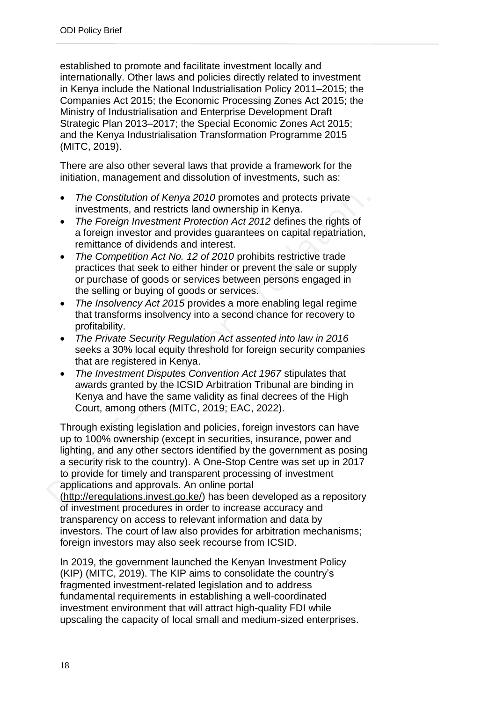established to promote and facilitate investment locally and internationally. Other laws and policies directly related to investment in Kenya include the National Industrialisation Policy 2011–2015; the Companies Act 2015; the Economic Processing Zones Act 2015; the Ministry of Industrialisation and Enterprise Development Draft Strategic Plan 2013–2017; the Special Economic Zones Act 2015; and the Kenya Industrialisation Transformation Programme 2015 (MITC, 2019).

There are also other several laws that provide a framework for the initiation, management and dissolution of investments, such as:

- *The Constitution of Kenya 2010* promotes and protects private investments, and restricts land ownership in Kenya.
- *The Foreign Investment Protection Act 2012* defines the rights of a foreign investor and provides guarantees on capital repatriation, remittance of dividends and interest.
- *The Competition Act No. 12 of 2010* prohibits restrictive trade practices that seek to either hinder or prevent the sale or supply or purchase of goods or services between persons engaged in the selling or buying of goods or services.
- *The Insolvency Act 2015* provides a more enabling legal regime that transforms insolvency into a second chance for recovery to profitability.
- *The Private Security Regulation Act assented into law in 2016* seeks a 30% local equity threshold for foreign security companies that are registered in Kenya.
- *The Investment Disputes Convention Act 1967* stipulates that awards granted by the ICSID Arbitration Tribunal are binding in Kenya and have the same validity as final decrees of the High Court, among others (MITC, 2019; EAC, 2022).

Through existing legislation and policies, foreign investors can have up to 100% ownership (except in securities, insurance, power and lighting, and any other sectors identified by the government as posing a security risk to the country). A One-Stop Centre was set up in 2017 to provide for timely and transparent processing of investment applications and approvals. An online portal [\(http://eregulations.invest.go.ke/\)](http://eregulations.invest.go.ke/) has been developed as a repository of investment procedures in order to increase accuracy and transparency on access to relevant information and data by investors. The court of law also provides for arbitration mechanisms; foreign investors may also seek recourse from ICSID.

In 2019, the government launched the Kenyan Investment Policy (KIP) (MITC, 2019). The KIP aims to consolidate the country's fragmented investment-related legislation and to address fundamental requirements in establishing a well-coordinated investment environment that will attract high-quality FDI while upscaling the capacity of local small and medium-sized enterprises.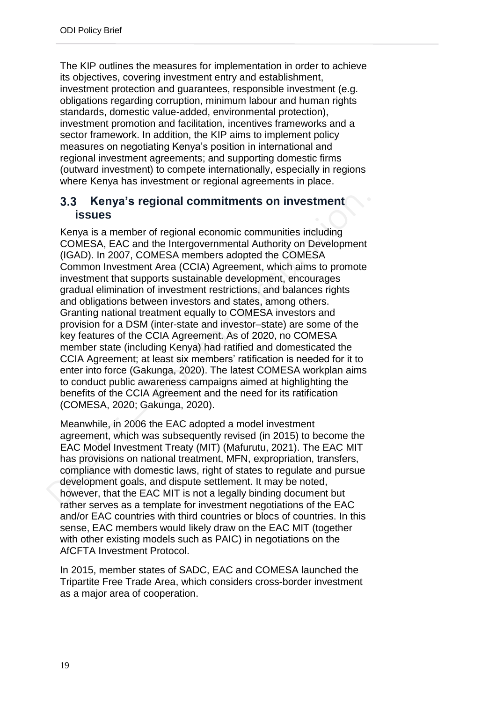The KIP outlines the measures for implementation in order to achieve its objectives, covering investment entry and establishment, investment protection and guarantees, responsible investment (e.g. obligations regarding corruption, minimum labour and human rights standards, domestic value-added, environmental protection), investment promotion and facilitation, incentives frameworks and a sector framework. In addition, the KIP aims to implement policy measures on negotiating Kenya's position in international and regional investment agreements; and supporting domestic firms (outward investment) to compete internationally, especially in regions where Kenya has investment or regional agreements in place.

#### <span id="page-18-0"></span> $3.3$ **Kenya's regional commitments on investment issues**

Kenya is a member of regional economic communities including COMESA, EAC and the Intergovernmental Authority on Development (IGAD). In 2007, COMESA members adopted the COMESA Common Investment Area (CCIA) Agreement, which aims to promote investment that supports sustainable development, encourages gradual elimination of investment restrictions, and balances rights and obligations between investors and states, among others. Granting national treatment equally to COMESA investors and provision for a DSM (inter-state and investor–state) are some of the key features of the CCIA Agreement. As of 2020, no COMESA member state (including Kenya) had ratified and domesticated the CCIA Agreement; at least six members' ratification is needed for it to enter into force (Gakunga, 2020). The latest COMESA workplan aims to conduct public awareness campaigns aimed at highlighting the benefits of the CCIA Agreement and the need for its ratification (COMESA, 2020; Gakunga, 2020).

Meanwhile, in 2006 the EAC adopted a model investment agreement, which was subsequently revised (in 2015) to become the EAC Model Investment Treaty (MIT) (Mafurutu, 2021). The EAC MIT has provisions on national treatment, MFN, expropriation, transfers, compliance with domestic laws, right of states to regulate and pursue development goals, and dispute settlement. It may be noted, however, that the EAC MIT is not a legally binding document but rather serves as a template for investment negotiations of the EAC and/or EAC countries with third countries or blocs of countries. In this sense, EAC members would likely draw on the EAC MIT (together with other existing models such as PAIC) in negotiations on the AfCFTA Investment Protocol.

In 2015, member states of SADC, EAC and COMESA launched the Tripartite Free Trade Area, which considers cross-border investment as a major area of cooperation.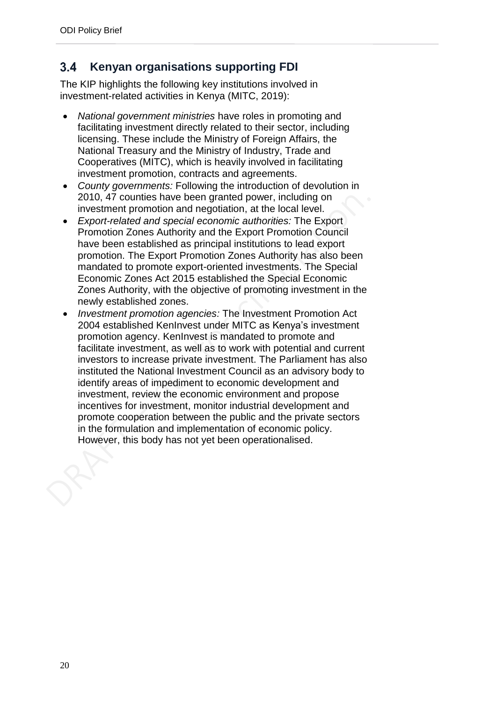#### <span id="page-19-0"></span> $3.4$ **Kenyan organisations supporting FDI**

The KIP highlights the following key institutions involved in investment-related activities in Kenya (MITC, 2019):

- *National government ministries* have roles in promoting and facilitating investment directly related to their sector, including licensing. These include the Ministry of Foreign Affairs, the National Treasury and the Ministry of Industry, Trade and Cooperatives (MITC), which is heavily involved in facilitating investment promotion, contracts and agreements.
- *County governments:* Following the introduction of devolution in 2010, 47 counties have been granted power, including on investment promotion and negotiation, at the local level.
- *Export-related and special economic authorities:* The Export Promotion Zones Authority and the Export Promotion Council have been established as principal institutions to lead export promotion. The Export Promotion Zones Authority has also been mandated to promote export-oriented investments. The Special Economic Zones Act 2015 established the Special Economic Zones Authority, with the objective of promoting investment in the newly established zones.
- *Investment promotion agencies:* The Investment Promotion Act 2004 established KenInvest under MITC as Kenya's investment promotion agency. KenInvest is mandated to promote and facilitate investment, as well as to work with potential and current investors to increase private investment. The Parliament has also instituted the National Investment Council as an advisory body to identify areas of impediment to economic development and investment, review the economic environment and propose incentives for investment, monitor industrial development and promote cooperation between the public and the private sectors in the formulation and implementation of economic policy. However, this body has not yet been operationalised.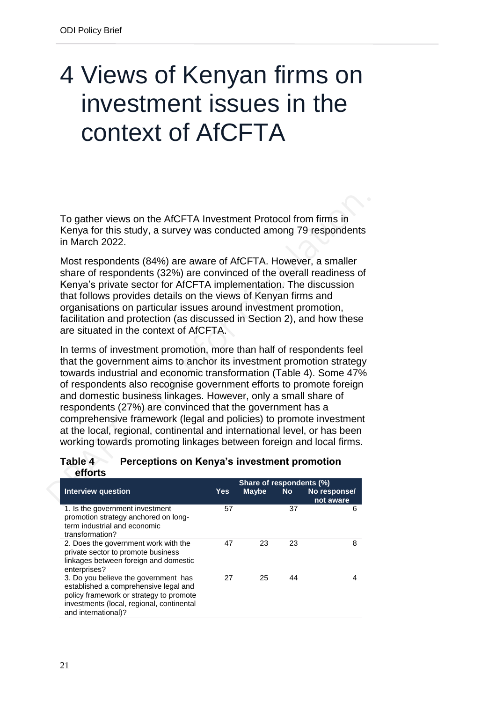## <span id="page-20-0"></span>4 Views of Kenyan firms on investment issues in the context of AfCFTA

To gather views on the AfCFTA Investment Protocol from firms in Kenya for this study, a survey was conducted among 79 respondents in March 2022.

Most respondents (84%) are aware of AfCFTA. However, a smaller share of respondents (32%) are convinced of the overall readiness of Kenya's private sector for AfCFTA implementation. The discussion that follows provides details on the views of Kenyan firms and organisations on particular issues around investment promotion, facilitation and protection (as discussed in Section 2), and how these are situated in the context of AfCFTA.

In terms of investment promotion, more than half of respondents feel that the government aims to anchor its investment promotion strategy towards industrial and economic transformation (Table 4). Some 47% of respondents also recognise government efforts to promote foreign and domestic business linkages. However, only a small share of respondents (27%) are convinced that the government has a comprehensive framework (legal and policies) to promote investment at the local, regional, continental and international level, or has been working towards promoting linkages between foreign and local firms.

### **Table 4 Perceptions on Kenya's investment promotion efforts**

|                                                                                                                                                                                              |     | Share of respondents (%) |           |                           |
|----------------------------------------------------------------------------------------------------------------------------------------------------------------------------------------------|-----|--------------------------|-----------|---------------------------|
| <b>Interview question</b>                                                                                                                                                                    | Yes | Maybe                    | <b>No</b> | No response/<br>not aware |
| 1. Is the government investment<br>promotion strategy anchored on long-<br>term industrial and economic<br>transformation?                                                                   | 57  |                          | 37        | 6                         |
| 2. Does the government work with the<br>private sector to promote business<br>linkages between foreign and domestic<br>enterprises?                                                          | 47  | 23                       | 23        | 8                         |
| 3. Do you believe the government has<br>established a comprehensive legal and<br>policy framework or strategy to promote<br>investments (local, regional, continental<br>and international)? | 27  | 25                       | 44        | 4                         |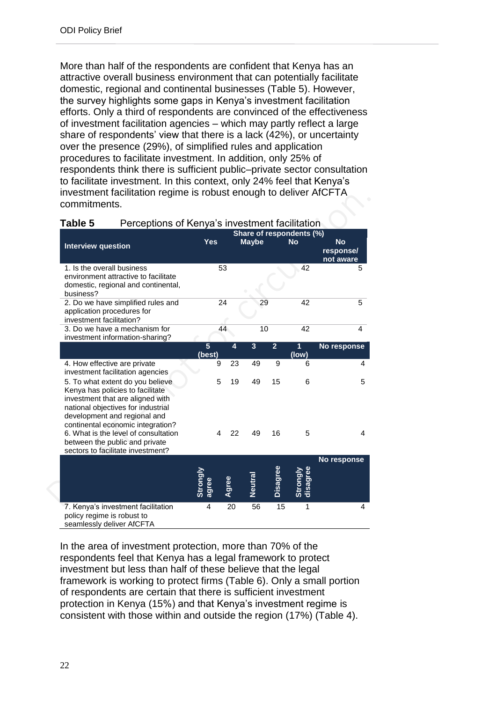More than half of the respondents are confident that Kenya has an attractive overall business environment that can potentially facilitate domestic, regional and continental businesses (Table 5). However, the survey highlights some gaps in Kenya's investment facilitation efforts. Only a third of respondents are convinced of the effectiveness of investment facilitation agencies – which may partly reflect a large share of respondents' view that there is a lack (42%), or uncertainty over the presence (29%), of simplified rules and application procedures to facilitate investment. In addition, only 25% of respondents think there is sufficient public–private sector consultation to facilitate investment. In this context, only 24% feel that Kenya's investment facilitation regime is robust enough to deliver AfCFTA commitments.

|                                                                                                                                                                                                                     |                          |         |                |                | Share of respondents (%) |                                     |
|---------------------------------------------------------------------------------------------------------------------------------------------------------------------------------------------------------------------|--------------------------|---------|----------------|----------------|--------------------------|-------------------------------------|
| <b>Interview question</b>                                                                                                                                                                                           | <b>Yes</b>               |         | <b>Maybe</b>   |                | <b>No</b>                | <b>No</b><br>response/<br>not aware |
| 1. Is the overall business<br>environment attractive to facilitate<br>domestic, regional and continental,<br>business?                                                                                              |                          | 53      |                |                | 42                       | 5                                   |
| 2. Do we have simplified rules and<br>application procedures for<br>investment facilitation?                                                                                                                        |                          | 24      | 29             |                | 42                       | 5                                   |
| 3. Do we have a mechanism for<br>investment information-sharing?                                                                                                                                                    |                          | 44      | 10             |                | 42                       | 4                                   |
|                                                                                                                                                                                                                     | $5\phantom{.}$<br>(best) | 4       | $\overline{3}$ | $\overline{2}$ | 1<br>(low)               | No response                         |
| 4. How effective are private<br>investment facilitation agencies                                                                                                                                                    |                          | 23<br>9 | 49             | 9              | 6                        | 4                                   |
| 5. To what extent do you believe<br>Kenya has policies to facilitate<br>investment that are aligned with<br>national objectives for industrial<br>development and regional and<br>continental economic integration? |                          | 5<br>19 | 49             | 15             | 6                        | 5                                   |
| 6. What is the level of consultation<br>between the public and private<br>sectors to facilitate investment?                                                                                                         |                          | 22<br>4 | 49             | 16             | 5                        | 4                                   |
|                                                                                                                                                                                                                     | Strongly<br>agree        | Agree   | Neutra         | Disagree       | Strongly<br>disagree     | No response                         |
| 7. Kenya's investment facilitation<br>policy regime is robust to<br>seamlessly deliver AfCFTA                                                                                                                       | 4                        | 20      | 56             | 15             | 1                        | 4                                   |

In the area of investment protection, more than 70% of the respondents feel that Kenya has a legal framework to protect investment but less than half of these believe that the legal framework is working to protect firms (Table 6). Only a small portion of respondents are certain that there is sufficient investment protection in Kenya (15%) and that Kenya's investment regime is consistent with those within and outside the region (17%) (Table 4).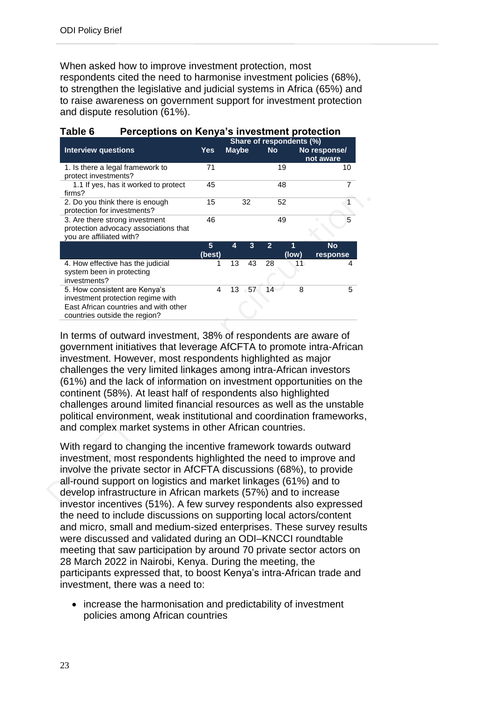When asked how to improve investment protection, most respondents cited the need to harmonise investment policies (68%), to strengthen the legislative and judicial systems in Africa (65%) and to raise awareness on government support for investment protection and dispute resolution (61%).

| Table 6<br>Perceptions on Kenya's investment protection                                                                                      |                          |              |    |                |            |                           |
|----------------------------------------------------------------------------------------------------------------------------------------------|--------------------------|--------------|----|----------------|------------|---------------------------|
|                                                                                                                                              | Share of respondents (%) |              |    |                |            |                           |
| <b>Interview questions</b>                                                                                                                   | Yes                      | <b>Maybe</b> |    | <b>No</b>      |            | No response/<br>not aware |
| 1. Is there a legal framework to<br>protect investments?                                                                                     | 71                       |              |    |                | 19         | 10                        |
| 1.1 If yes, has it worked to protect<br>firms?                                                                                               | 45                       |              |    |                | 48         | 7                         |
| 2. Do you think there is enough<br>protection for investments?                                                                               | 15                       |              | 32 |                | 52         |                           |
| 3. Are there strong investment<br>protection advocacy associations that<br>you are affiliated with?                                          | 46                       |              |    |                | 49         | 5                         |
|                                                                                                                                              | 5<br>(best)              | 4            | 3  | $\overline{2}$ | 1<br>(low) | <b>No</b><br>response     |
| 4. How effective has the judicial<br>system been in protecting<br>investments?                                                               | 1                        | 13           | 43 | 28             | 11         | 4                         |
| 5. How consistent are Kenya's<br>investment protection regime with<br>East African countries and with other<br>countries outside the region? | 4                        | 13           | 57 | 14             | 8          | 5                         |

### In terms of outward investment, 38% of respondents are aware of government initiatives that leverage AfCFTA to promote intra-African investment. However, most respondents highlighted as major challenges the very limited linkages among intra-African investors (61%) and the lack of information on investment opportunities on the continent (58%). At least half of respondents also highlighted challenges around limited financial resources as well as the unstable political environment, weak institutional and coordination frameworks, and complex market systems in other African countries.

With regard to changing the incentive framework towards outward investment, most respondents highlighted the need to improve and involve the private sector in AfCFTA discussions (68%), to provide all-round support on logistics and market linkages (61%) and to develop infrastructure in African markets (57%) and to increase investor incentives (51%). A few survey respondents also expressed the need to include discussions on supporting local actors/content and micro, small and medium-sized enterprises. These survey results were discussed and validated during an ODI–KNCCI roundtable meeting that saw participation by around 70 private sector actors on 28 March 2022 in Nairobi, Kenya. During the meeting, the participants expressed that, to boost Kenya's intra-African trade and investment, there was a need to:

• increase the harmonisation and predictability of investment policies among African countries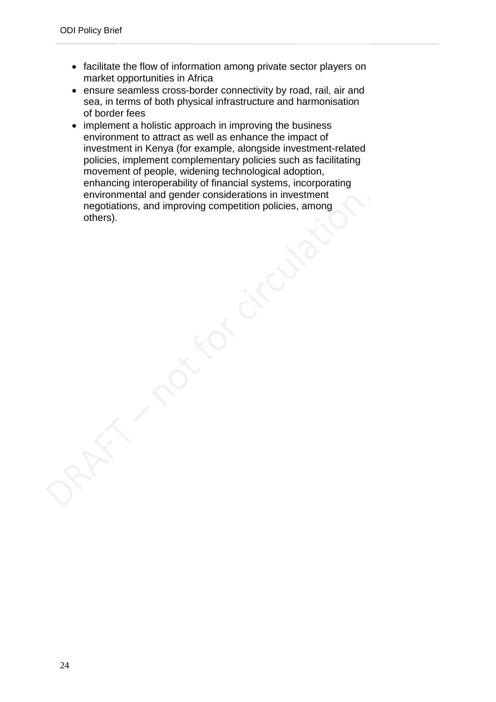- facilitate the flow of information among private sector players on market opportunities in Africa
- ensure seamless cross-border connectivity by road, rail, air and sea, in terms of both physical infrastructure and harmonisation of border fees
- implement a holistic approach in improving the business environment to attract as well as enhance the impact of investment in Kenya (for example, alongside investment-related policies, implement complementary policies such as facilitating movement of people, widening technological adoption, enhancing interoperability of financial systems, incorporating environmental and gender considerations in investment negotiations, and improving competition policies, among others).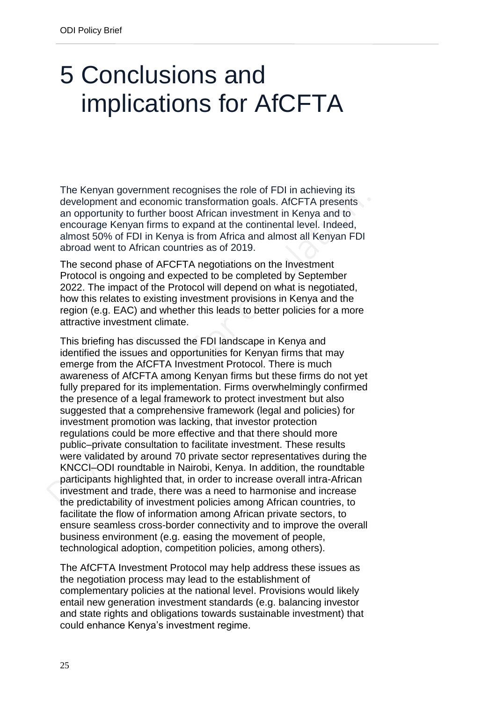## <span id="page-24-0"></span>5 Conclusions and implications for AfCFTA

The Kenyan government recognises the role of FDI in achieving its development and economic transformation goals. AfCFTA presents an opportunity to further boost African investment in Kenya and to encourage Kenyan firms to expand at the continental level. Indeed, almost 50% of FDI in Kenya is from Africa and almost all Kenyan FDI abroad went to African countries as of 2019.

The second phase of AFCFTA negotiations on the Investment Protocol is ongoing and expected to be completed by September 2022. The impact of the Protocol will depend on what is negotiated, how this relates to existing investment provisions in Kenya and the region (e.g. EAC) and whether this leads to better policies for a more attractive investment climate.

This briefing has discussed the FDI landscape in Kenya and identified the issues and opportunities for Kenyan firms that may emerge from the AfCFTA Investment Protocol. There is much awareness of AfCFTA among Kenyan firms but these firms do not yet fully prepared for its implementation. Firms overwhelmingly confirmed the presence of a legal framework to protect investment but also suggested that a comprehensive framework (legal and policies) for investment promotion was lacking, that investor protection regulations could be more effective and that there should more public–private consultation to facilitate investment. These results were validated by around 70 private sector representatives during the KNCCI–ODI roundtable in Nairobi, Kenya. In addition, the roundtable participants highlighted that, in order to increase overall intra-African investment and trade, there was a need to harmonise and increase the predictability of investment policies among African countries, to facilitate the flow of information among African private sectors, to ensure seamless cross-border connectivity and to improve the overall business environment (e.g. easing the movement of people, technological adoption, competition policies, among others).

The AfCFTA Investment Protocol may help address these issues as the negotiation process may lead to the establishment of complementary policies at the national level. Provisions would likely entail new generation investment standards (e.g. balancing investor and state rights and obligations towards sustainable investment) that could enhance Kenya's investment regime.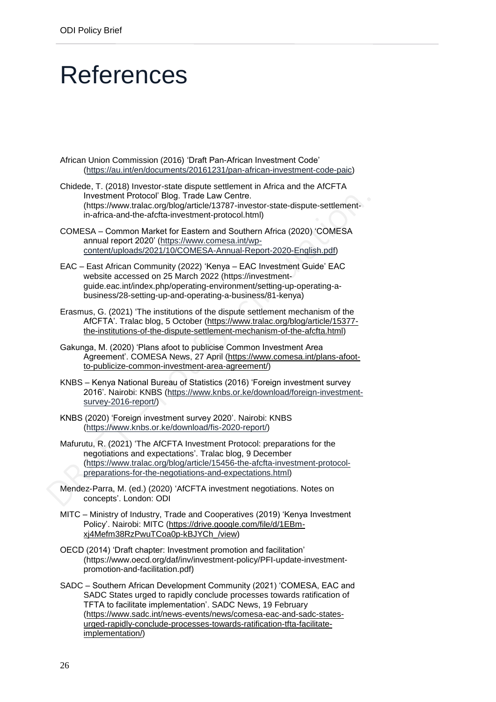## <span id="page-25-0"></span>**References**

- African Union Commission (2016) 'Draft Pan-African Investment Code' [\(https://au.int/en/documents/20161231/pan-african-investment-code-paic\)](https://au.int/en/documents/20161231/pan-african-investment-code-paic)
- Chidede, T. (2018) Investor-state dispute settlement in Africa and the AfCFTA Investment Protocol' Blog. Trade Law Centre. (https://www.tralac.org/blog/article/13787-investor-state-dispute-settlementin-africa-and-the-afcfta-investment-protocol.html)
- COMESA Common Market for Eastern and Southern Africa (2020) 'COMESA annual report 2020' [\(https://www.comesa.int/wp](https://www.comesa.int/wp-content/uploads/2021/10/COMESA-Annual-Report-2020-English.pdf)[content/uploads/2021/10/COMESA-Annual-Report-2020-English.pdf\)](https://www.comesa.int/wp-content/uploads/2021/10/COMESA-Annual-Report-2020-English.pdf)
- EAC East African Community (2022) 'Kenya EAC Investment Guide' EAC website accessed on 25 March 2022 (https://investmentguide.eac.int/index.php/operating-environment/setting-up-operating-abusiness/28-setting-up-and-operating-a-business/81-kenya)
- Erasmus, G. (2021) 'The institutions of the dispute settlement mechanism of the AfCFTA'. Tralac blog, 5 October [\(https://www.tralac.org/blog/article/15377](https://www.tralac.org/blog/article/15377-the-institutions-of-the-dispute-settlement-mechanism-of-the-afcfta.html) [the-institutions-of-the-dispute-settlement-mechanism-of-the-afcfta.html\)](https://www.tralac.org/blog/article/15377-the-institutions-of-the-dispute-settlement-mechanism-of-the-afcfta.html)
- Gakunga, M. (2020) 'Plans afoot to publicise Common Investment Area Agreement'. COMESA News, 27 April [\(https://www.comesa.int/plans-afoot](https://www.comesa.int/plans-afoot-to-publicize-common-investment-area-agreement/)[to-publicize-common-investment-area-agreement/\)](https://www.comesa.int/plans-afoot-to-publicize-common-investment-area-agreement/)
- KNBS Kenya National Bureau of Statistics (2016) 'Foreign investment survey 2016'. Nairobi: KNBS [\(https://www.knbs.or.ke/download/foreign-investment](https://www.knbs.or.ke/download/foreign-investment-survey-2016-report/)[survey-2016-report/\)](https://www.knbs.or.ke/download/foreign-investment-survey-2016-report/)
- KNBS (2020) 'Foreign investment survey 2020'. Nairobi: KNBS [\(https://www.knbs.or.ke/download/fis-2020-report/\)](https://www.knbs.or.ke/download/fis-2020-report/)
- Mafurutu, R. (2021) 'The AfCFTA Investment Protocol: preparations for the negotiations and expectations'. Tralac blog, 9 December [\(https://www.tralac.org/blog/article/15456-the-afcfta-investment-protocol](https://www.tralac.org/blog/article/15456-the-afcfta-investment-protocol-preparations-for-the-negotiations-and-expectations.html)[preparations-for-the-negotiations-and-expectations.html\)](https://www.tralac.org/blog/article/15456-the-afcfta-investment-protocol-preparations-for-the-negotiations-and-expectations.html)
- Mendez-Parra, M. (ed.) (2020) 'AfCFTA investment negotiations. Notes on concepts'. London: ODI
- MITC Ministry of Industry, Trade and Cooperatives (2019) 'Kenya Investment Policy'. Nairobi: MITC [\(https://drive.google.com/file/d/1EBm](https://drive.google.com/file/d/1EBm-xj4Mefm38RzPwuTCoa0p-kBJYCh_/view)[xj4Mefm38RzPwuTCoa0p-kBJYCh\\_/view\)](https://drive.google.com/file/d/1EBm-xj4Mefm38RzPwuTCoa0p-kBJYCh_/view)
- OECD (2014) 'Draft chapter: Investment promotion and facilitation' [\(https://www.oecd.org/daf/inv/investment-policy/PFI-update-investment](https://www.oecd.org/daf/inv/investment-policy/PFI-update-investment-promotion-and-facilitation.pdf)[promotion-and-facilitation.pdf\)](https://www.oecd.org/daf/inv/investment-policy/PFI-update-investment-promotion-and-facilitation.pdf)
- SADC Southern African Development Community (2021) 'COMESA, EAC and SADC States urged to rapidly conclude processes towards ratification of TFTA to facilitate implementation'. SADC News, 19 February [\(https://www.sadc.int/news-events/news/comesa-eac-and-sadc-states](https://www.sadc.int/news-events/news/comesa-eac-and-sadc-states-urged-rapidly-conclude-processes-towards-ratification-tfta-facilitate-implementation/)[urged-rapidly-conclude-processes-towards-ratification-tfta-facilitate](https://www.sadc.int/news-events/news/comesa-eac-and-sadc-states-urged-rapidly-conclude-processes-towards-ratification-tfta-facilitate-implementation/)[implementation/\)](https://www.sadc.int/news-events/news/comesa-eac-and-sadc-states-urged-rapidly-conclude-processes-towards-ratification-tfta-facilitate-implementation/)